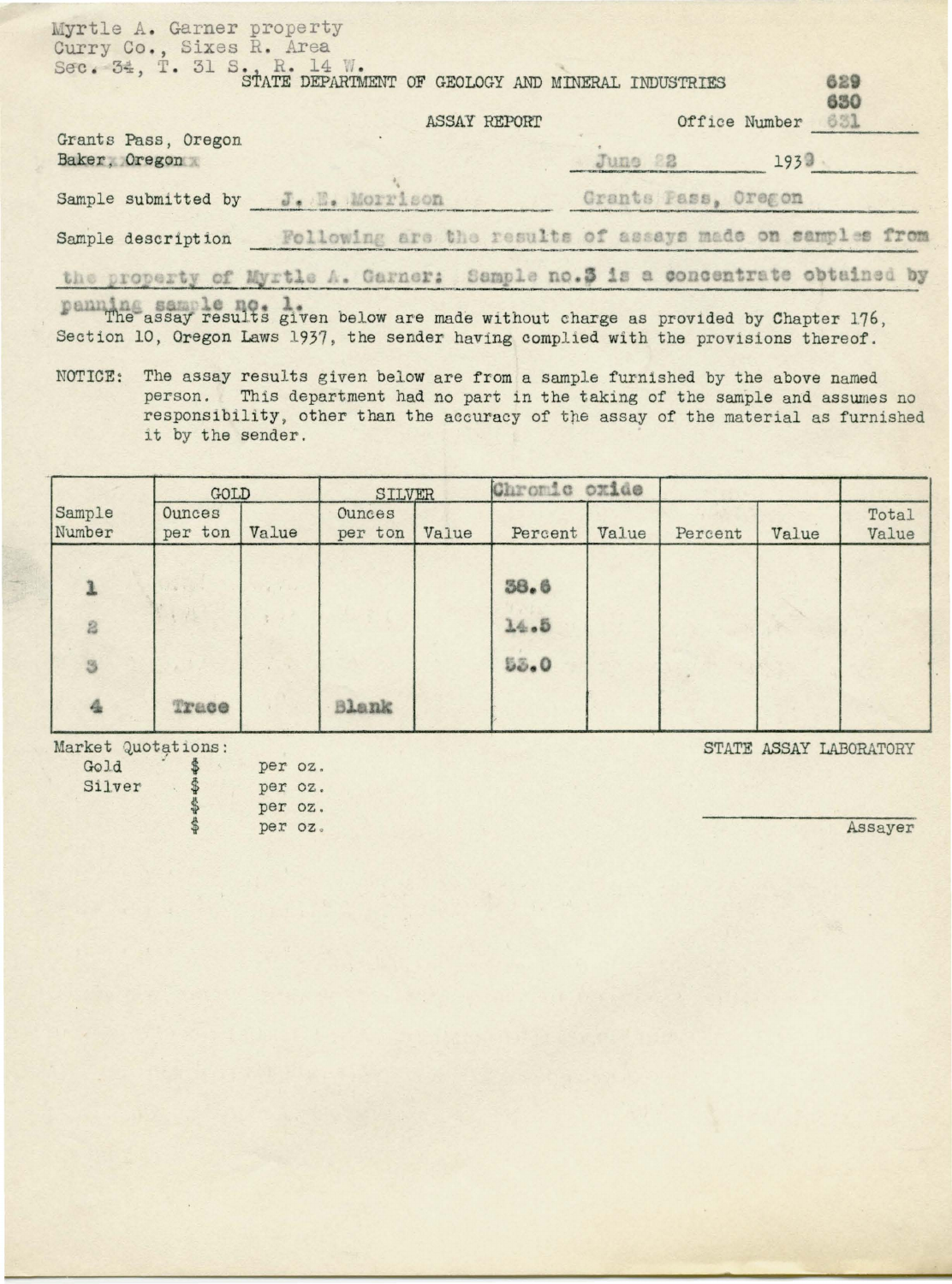| Myrtle A. Garner property<br>Curry Co., Sixes R. Area                                                                                                                                                                                                    |              |                     |                   |
|----------------------------------------------------------------------------------------------------------------------------------------------------------------------------------------------------------------------------------------------------------|--------------|---------------------|-------------------|
| Sec. 34, T. 31 S. R. 14 W.<br>STATE DEPARTMENT OF GEOLOGY AND MINERAL INDUSTRIES                                                                                                                                                                         |              |                     | 629<br>630        |
|                                                                                                                                                                                                                                                          | ASSAY REPORT |                     | Office Number 631 |
| Grants Pass, Oregon<br>Baker, Oregon                                                                                                                                                                                                                     |              | June 22             | 1939              |
| Sample submitted by J. Morrison                                                                                                                                                                                                                          |              | Grants Pass, Oregon |                   |
| Sample description Following are the results of assays made on samples from                                                                                                                                                                              |              |                     |                   |
| the property of Myrtle A. Garner: Sample no.3 is a concentrate obtained by<br>The assay results given below are made without charge as provided by Chapter 176,<br>Section 10, Oregon Laws 1937, the sender having complied with the provisions thereof. |              |                     |                   |

NOTICE: The assay results given below are from a sample furnished by the above named person. This department had no part in the taking of the sample and assumes no responsibility, other than the accuracy of the assay of the material as furnished it by the sender.

|                  | GOLD              |       | SILVER            |       | Chromic oxide |       |         |       |                |
|------------------|-------------------|-------|-------------------|-------|---------------|-------|---------|-------|----------------|
| Sample<br>Number | Ounces<br>per ton | Value | Ounces<br>per ton | Value | Percent       | Value | Percent | Value | Total<br>Value |
|                  |                   |       |                   |       | 38.6          |       |         |       |                |
| 2<br>3           |                   |       |                   |       | 14.5<br>53.0  |       |         |       |                |
| $\frac{A}{2a}$   | Trace             |       | Blank             |       |               |       |         |       |                |

Market Quotations:

| Gold   |   | per oz. |  |
|--------|---|---------|--|
| Silver | ф | per oz. |  |
|        |   | per oz. |  |
|        |   | per oz. |  |

STATE ASSAY LABORATORY

Assayer